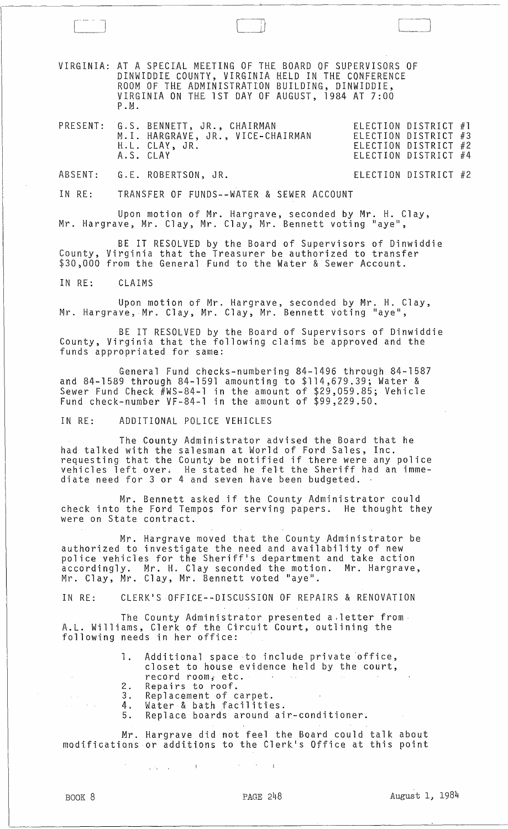VIRGINIA: AT A SPECIAL MEETING OF THE BOARD OF SUPERVISORS OF DINWIDDIE COUNTY, VIRGINIA HELD IN THE CONFERENCE ROOM OF THE ADMINISTRATION BUILDING, DINWIDDIE, VIRGINIA ON THE 1ST DAY OF AUGUST, 1984 AT 7:00 P.M.

 $\begin{array}{ccc} \hline \quad & \quad \quad & \quad \quad \\ \hline \quad & \quad \quad & \quad \quad \\ \hline \quad & \quad \quad & \quad \quad \\ \hline \quad & \quad \quad & \quad \quad \\ \hline \quad & \quad \quad & \quad \quad \\ \hline \quad & \quad \quad & \quad \quad \\ \hline \quad & \quad \quad & \quad \quad \\ \hline \quad & \quad \quad & \quad \quad \\ \hline \quad & \quad \quad & \quad \quad \\ \hline \quad & \quad \quad & \quad \quad \\ \hline \quad & \quad \quad & \quad \quad \\ \hline \quad & \quad \quad & \quad \quad \\ \hline \quad & \quad \quad & \quad \quad \\ \hline \quad$ 

|  | PRESENT: G.S. BENNETT, JR., CHAIRMAN<br>M.I. HARGRAVE, JR., VICE-CHAIRMAN<br>H.L. CLAY, JR.<br>A.S. CLAY | ELECTION DISTRICT #4 | ELECTION DISTRICT #1<br>ELECTION DISTRICT #3<br>ELECTION DISTRICT #2 |  |
|--|----------------------------------------------------------------------------------------------------------|----------------------|----------------------------------------------------------------------|--|
|  |                                                                                                          |                      |                                                                      |  |

ABSENT: G.E. ROBERTSON, JR.

ELECTION DISTRICT #2

J

IN RE: TRANSFER OF FUNDS--WATER & SEWER ACCOUNT

Upon motion of Mr. Hargrave, seconded by Mr. H. Clay, Mr. Hargrave, Mr. Clay, Mr. Clay, Mr. Bennett voting "aye",

BE IT RESOLVED by the Board of Supervisors of Dinwiddie County, Virginia that the Treasurer be authorized to transfer \$30,000 from the General Fund to the Water & Sewer Account.

IN RE: CLAIMS

Upon motion of Mr. Hargrave, seconded by Mr. H. Clay, Mr. Hargrave, Mr. Clay, Mr. Clay, Mr. Bennett voting "aye",

BE IT RESOLVED by the Board of Supervisors of Dinwiddie County, Virginia that the following claims be approved and the funds appropriated for same:

General Fund checks-numbering 84-1496 through 84-1587 and 84-1589 through 84-1591 amounting to \$114,679.39; Water & Sewer Fund Check #WS-84-1 in the amount of \$29,059.85; Vehicle Fund check-number VF-84-1 in the amount of \$99,229.50.

IN RE: ADDITIONAL POLICE VEHICLES

The County Administrator advised the Board that he had talked with the salesman at World of Ford Sales, Inc. requesting that the County be notified if there were any police vehicles left over, He stated he felt the Sheriff had an immeequesting that the soundy be hotfired in there were a<br>vehicles left over. He stated he felt the Sheriff had<br>diate need for 3 or 4 and seven have been budgeted.

Mr. Bennett asked if the County Administrator could check into the Ford Tempos for serving papers. He thought they were on State contract.

Mr. Hargrave moved that the County Administrator be authorized to investigate the need and availability of new police vehicles for the Sheriff's department and take action accordingly. Mr. H. Clay seconded the motion. Mr. Hargrave, Mr. Clay, Mr. Clay, Mr. Bennett voted "aye".

IN RE: CLERK'S OFFICE--DISCUSSION OF REPAIRS & RENOVATION

The County Administrator presented a,letter from A.L. Williams, Clerk of the Circuit Court, outlining the following needs in her office: .

- 1. Additional space to include private office, closet to house evidence held by the court, record *roomi* etc.
- 2. Repairs to roof.<br>3. Replacement of c
- 3. Replacement of carpet.
- 3. Replacement of carpet.<br>4. Water & bath facilities.
- 5. Replace boards around air-conditioner.

Mr. Hargrave did not feel the Board could talk about modifications or additions to the Clerk's Office at this point